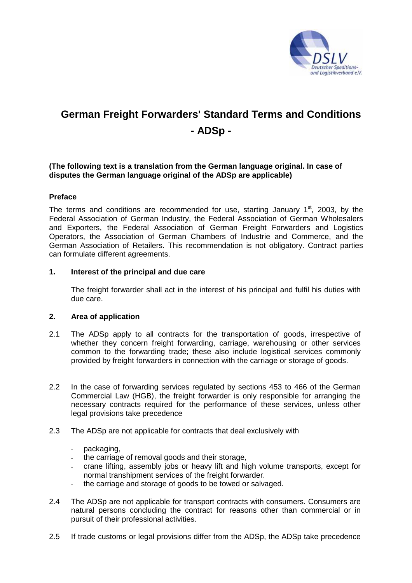

# **German Freight Forwarders' Standard Terms and Conditions - ADSp -**

# **(The following text is a translation from the German language original. In case of disputes the German language original of the ADSp are applicable)**

# **Preface**

The terms and conditions are recommended for use, starting January  $1<sup>st</sup>$ , 2003, by the Federal Association of German Industry, the Federal Association of German Wholesalers and Exporters, the Federal Association of German Freight Forwarders and Logistics Operators, the Association of German Chambers of Industrie and Commerce, and the German Association of Retailers. This recommendation is not obligatory. Contract parties can formulate different agreements.

# **1. Interest of the principal and due care**

 The freight forwarder shall act in the interest of his principal and fulfil his duties with due care.

# **2. Area of application**

- 2.1 The ADSp apply to all contracts for the transportation of goods, irrespective of whether they concern freight forwarding, carriage, warehousing or other services common to the forwarding trade; these also include logistical services commonly provided by freight forwarders in connection with the carriage or storage of goods.
- 2.2 In the case of forwarding services regulated by sections 453 to 466 of the German Commercial Law (HGB), the freight forwarder is only responsible for arranging the necessary contracts required for the performance of these services, unless other legal provisions take precedence
- 2.3 The ADSp are not applicable for contracts that deal exclusively with
	- packaging.
	- the carriage of removal goods and their storage,
	- crane lifting, assembly jobs or heavy lift and high volume transports, except for normal transhipment services of the freight forwarder.
	- the carriage and storage of goods to be towed or salvaged.
- 2.4 The ADSp are not applicable for transport contracts with consumers. Consumers are natural persons concluding the contract for reasons other than commercial or in pursuit of their professional activities.
- 2.5 If trade customs or legal provisions differ from the ADSp, the ADSp take precedence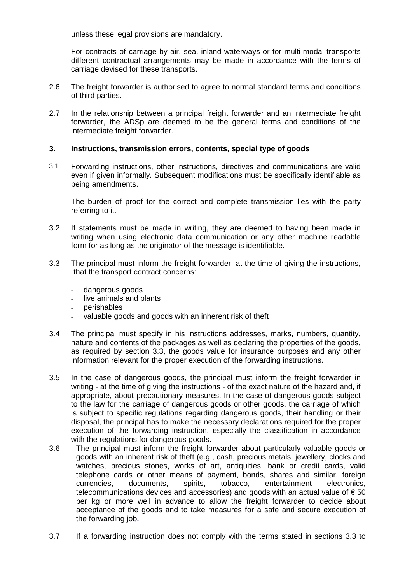unless these legal provisions are mandatory.

For contracts of carriage by air, sea, inland waterways or for multi-modal transports different contractual arrangements may be made in accordance with the terms of carriage devised for these transports.

- 2.6 The freight forwarder is authorised to agree to normal standard terms and conditions of third parties.
- 2.7 In the relationship between a principal freight forwarder and an intermediate freight forwarder, the ADSp are deemed to be the general terms and conditions of the intermediate freight forwarder.

## **3. Instructions, transmission errors, contents, special type of goods**

3.1 Forwarding instructions, other instructions, directives and communications are valid even if given informally. Subsequent modifications must be specifically identifiable as being amendments.

The burden of proof for the correct and complete transmission lies with the party referring to it.

- 3.2 If statements must be made in writing, they are deemed to having been made in writing when using electronic data communication or any other machine readable form for as long as the originator of the message is identifiable.
- 3.3 The principal must inform the freight forwarder, at the time of giving the instructions, that the transport contract concerns:
	- dangerous goods
	- live animals and plants
	- perishables
	- valuable goods and goods with an inherent risk of theft
- 3.4 The principal must specify in his instructions addresses, marks, numbers, quantity, nature and contents of the packages as well as declaring the properties of the goods, as required by section 3.3, the goods value for insurance purposes and any other information relevant for the proper execution of the forwarding instructions.
- 3.5 In the case of dangerous goods, the principal must inform the freight forwarder in writing - at the time of giving the instructions - of the exact nature of the hazard and, if appropriate, about precautionary measures. In the case of dangerous goods subject to the law for the carriage of dangerous goods or other goods, the carriage of which is subject to specific regulations regarding dangerous goods, their handling or their disposal, the principal has to make the necessary declarations required for the proper execution of the forwarding instruction, especially the classification in accordance with the regulations for dangerous goods.
- 3.6 The principal must inform the freight forwarder about particularly valuable goods or goods with an inherent risk of theft (e.g., cash, precious metals, jewellery, clocks and watches, precious stones, works of art, antiquities, bank or credit cards, valid telephone cards or other means of payment, bonds, shares and similar, foreign currencies, documents, spirits, tobacco, entertainment electronics, telecommunications devices and accessories) and goods with an actual value of  $\epsilon$  50 per kg or more well in advance to allow the freight forwarder to decide about acceptance of the goods and to take measures for a safe and secure execution of the forwarding job**.**
- 3.7 If a forwarding instruction does not comply with the terms stated in sections 3.3 to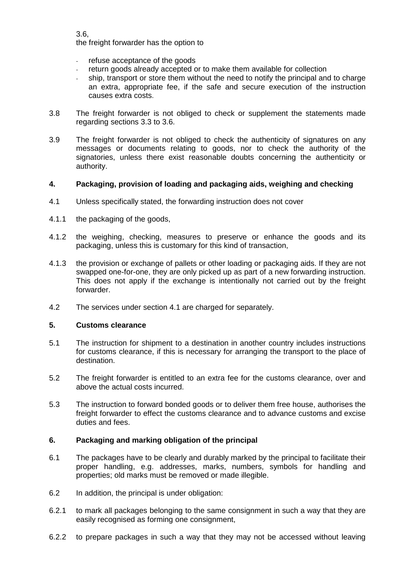3.6,

the freight forwarder has the option to

- refuse acceptance of the goods
- return goods already accepted or to make them available for collection
- ship, transport or store them without the need to notify the principal and to charge an extra, appropriate fee, if the safe and secure execution of the instruction causes extra costs.
- 3.8 The freight forwarder is not obliged to check or supplement the statements made regarding sections 3.3 to 3.6.
- 3.9 The freight forwarder is not obliged to check the authenticity of signatures on any messages or documents relating to goods, nor to check the authority of the signatories, unless there exist reasonable doubts concerning the authenticity or authority.

# **4. Packaging, provision of loading and packaging aids, weighing and checking**

- 4.1 Unless specifically stated, the forwarding instruction does not cover
- 4.1.1 the packaging of the goods,
- 4.1.2 the weighing, checking, measures to preserve or enhance the goods and its packaging, unless this is customary for this kind of transaction,
- 4.1.3 the provision or exchange of pallets or other loading or packaging aids. If they are not swapped one-for-one, they are only picked up as part of a new forwarding instruction. This does not apply if the exchange is intentionally not carried out by the freight forwarder.
- 4.2 The services under section 4.1 are charged for separately.

# **5. Customs clearance**

- 5.1 The instruction for shipment to a destination in another country includes instructions for customs clearance, if this is necessary for arranging the transport to the place of destination.
- 5.2 The freight forwarder is entitled to an extra fee for the customs clearance, over and above the actual costs incurred.
- 5.3 The instruction to forward bonded goods or to deliver them free house, authorises the freight forwarder to effect the customs clearance and to advance customs and excise duties and fees.

# **6. Packaging and marking obligation of the principal**

- 6.1 The packages have to be clearly and durably marked by the principal to facilitate their proper handling, e.g. addresses, marks, numbers, symbols for handling and properties; old marks must be removed or made illegible.
- 6.2 In addition, the principal is under obligation:
- 6.2.1 to mark all packages belonging to the same consignment in such a way that they are easily recognised as forming one consignment,
- 6.2.2 to prepare packages in such a way that they may not be accessed without leaving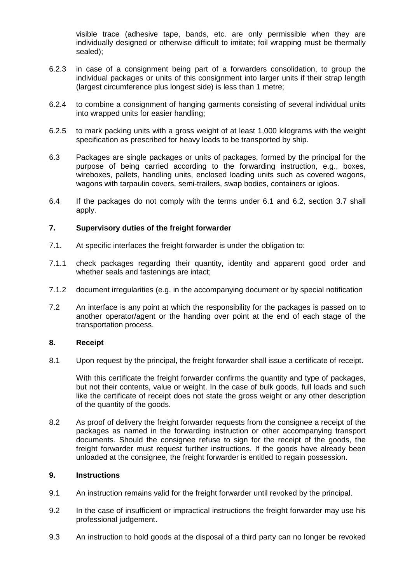visible trace (adhesive tape, bands, etc. are only permissible when they are individually designed or otherwise difficult to imitate; foil wrapping must be thermally sealed);

- 6.2.3 in case of a consignment being part of a forwarders consolidation, to group the individual packages or units of this consignment into larger units if their strap length (largest circumference plus longest side) is less than 1 metre;
- 6.2.4 to combine a consignment of hanging garments consisting of several individual units into wrapped units for easier handling;
- 6.2.5 to mark packing units with a gross weight of at least 1,000 kilograms with the weight specification as prescribed for heavy loads to be transported by ship.
- 6.3 Packages are single packages or units of packages, formed by the principal for the purpose of being carried according to the forwarding instruction, e.g., boxes, wireboxes, pallets, handling units, enclosed loading units such as covered wagons, wagons with tarpaulin covers, semi-trailers, swap bodies, containers or igloos.
- 6.4 If the packages do not comply with the terms under 6.1 and 6.2, section 3.7 shall apply.

## **7. Supervisory duties of the freight forwarder**

- 7.1. At specific interfaces the freight forwarder is under the obligation to:
- 7.1.1 check packages regarding their quantity, identity and apparent good order and whether seals and fastenings are intact;
- 7.1.2 document irregularities (e.g. in the accompanying document or by special notification
- 7.2 An interface is any point at which the responsibility for the packages is passed on to another operator/agent or the handing over point at the end of each stage of the transportation process.

#### **8. Receipt**

8.1 Upon request by the principal, the freight forwarder shall issue a certificate of receipt.

With this certificate the freight forwarder confirms the quantity and type of packages, but not their contents, value or weight. In the case of bulk goods, full loads and such like the certificate of receipt does not state the gross weight or any other description of the quantity of the goods.

8.2 As proof of delivery the freight forwarder requests from the consignee a receipt of the packages as named in the forwarding instruction or other accompanying transport documents. Should the consignee refuse to sign for the receipt of the goods, the freight forwarder must request further instructions. If the goods have already been unloaded at the consignee, the freight forwarder is entitled to regain possession.

#### **9. Instructions**

- 9.1 An instruction remains valid for the freight forwarder until revoked by the principal.
- 9.2 In the case of insufficient or impractical instructions the freight forwarder may use his professional judgement.
- 9.3 An instruction to hold goods at the disposal of a third party can no longer be revoked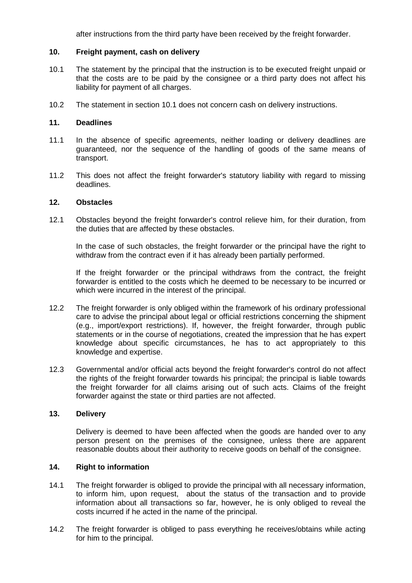after instructions from the third party have been received by the freight forwarder.

# **10. Freight payment, cash on delivery**

- 10.1 The statement by the principal that the instruction is to be executed freight unpaid or that the costs are to be paid by the consignee or a third party does not affect his liability for payment of all charges.
- 10.2 The statement in section 10.1 does not concern cash on delivery instructions.

## **11. Deadlines**

- 11.1 In the absence of specific agreements, neither loading or delivery deadlines are guaranteed, nor the sequence of the handling of goods of the same means of transport.
- 11.2 This does not affect the freight forwarder's statutory liability with regard to missing deadlines.

#### **12. Obstacles**

12.1 Obstacles beyond the freight forwarder's control relieve him, for their duration, from the duties that are affected by these obstacles.

 In the case of such obstacles, the freight forwarder or the principal have the right to withdraw from the contract even if it has already been partially performed.

 If the freight forwarder or the principal withdraws from the contract, the freight forwarder is entitled to the costs which he deemed to be necessary to be incurred or which were incurred in the interest of the principal.

- 12.2 The freight forwarder is only obliged within the framework of his ordinary professional care to advise the principal about legal or official restrictions concerning the shipment (e.g., import/export restrictions). If, however, the freight forwarder, through public statements or in the course of negotiations, created the impression that he has expert knowledge about specific circumstances, he has to act appropriately to this knowledge and expertise.
- 12.3 Governmental and/or official acts beyond the freight forwarder's control do not affect the rights of the freight forwarder towards his principal; the principal is liable towards the freight forwarder for all claims arising out of such acts. Claims of the freight forwarder against the state or third parties are not affected.

#### **13. Delivery**

 Delivery is deemed to have been affected when the goods are handed over to any person present on the premises of the consignee, unless there are apparent reasonable doubts about their authority to receive goods on behalf of the consignee.

# **14. Right to information**

- 14.1 The freight forwarder is obliged to provide the principal with all necessary information, to inform him, upon request, about the status of the transaction and to provide information about all transactions so far, however, he is only obliged to reveal the costs incurred if he acted in the name of the principal.
- 14.2 The freight forwarder is obliged to pass everything he receives/obtains while acting for him to the principal.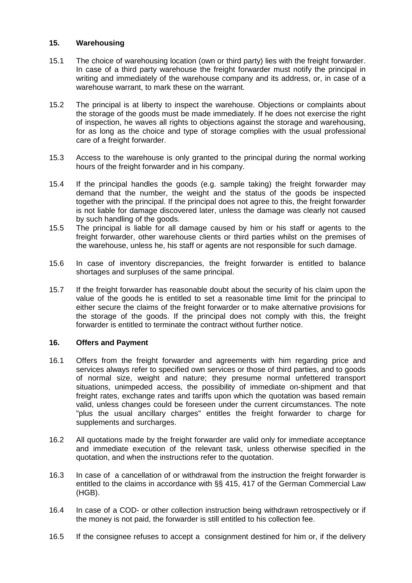# **15. Warehousing**

- 15.1 The choice of warehousing location (own or third party) lies with the freight forwarder. In case of a third party warehouse the freight forwarder must notify the principal in writing and immediately of the warehouse company and its address, or, in case of a warehouse warrant, to mark these on the warrant.
- 15.2 The principal is at liberty to inspect the warehouse. Objections or complaints about the storage of the goods must be made immediately. If he does not exercise the right of inspection, he waves all rights to objections against the storage and warehousing, for as long as the choice and type of storage complies with the usual professional care of a freight forwarder.
- 15.3 Access to the warehouse is only granted to the principal during the normal working hours of the freight forwarder and in his company.
- 15.4 If the principal handles the goods (e.g. sample taking) the freight forwarder may demand that the number, the weight and the status of the goods be inspected together with the principal. If the principal does not agree to this, the freight forwarder is not liable for damage discovered later, unless the damage was clearly not caused by such handling of the goods.
- 15.5 The principal is liable for all damage caused by him or his staff or agents to the freight forwarder, other warehouse clients or third parties whilst on the premises of the warehouse, unless he, his staff or agents are not responsible for such damage.
- 15.6 In case of inventory discrepancies, the freight forwarder is entitled to balance shortages and surpluses of the same principal.
- 15.7 If the freight forwarder has reasonable doubt about the security of his claim upon the value of the goods he is entitled to set a reasonable time limit for the principal to either secure the claims of the freight forwarder or to make alternative provisions for the storage of the goods. If the principal does not comply with this, the freight forwarder is entitled to terminate the contract without further notice.

# **16. Offers and Payment**

- 16.1 Offers from the freight forwarder and agreements with him regarding price and services always refer to specified own services or those of third parties, and to goods of normal size, weight and nature; they presume normal unfettered transport situations, unimpeded access, the possibility of immediate on-shipment and that freight rates, exchange rates and tariffs upon which the quotation was based remain valid, unless changes could be foreseen under the current circumstances. The note "plus the usual ancillary charges" entitles the freight forwarder to charge for supplements and surcharges.
- 16.2 All quotations made by the freight forwarder are valid only for immediate acceptance and immediate execution of the relevant task, unless otherwise specified in the quotation, and when the instructions refer to the quotation.
- 16.3 In case of a cancellation of or withdrawal from the instruction the freight forwarder is entitled to the claims in accordance with §§ 415, 417 of the German Commercial Law (HGB).
- 16.4 In case of a COD- or other collection instruction being withdrawn retrospectively or if the money is not paid, the forwarder is still entitled to his collection fee.
- 16.5 If the consignee refuses to accept a consignment destined for him or, if the delivery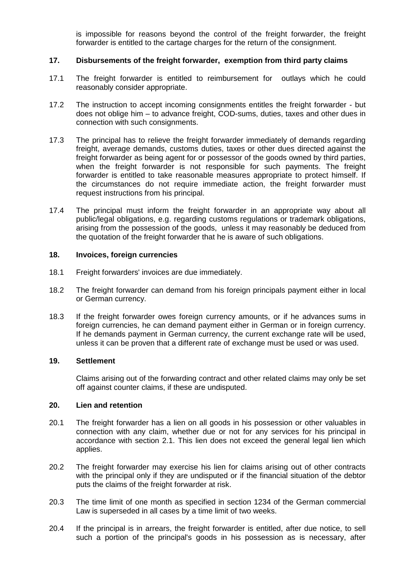is impossible for reasons beyond the control of the freight forwarder, the freight forwarder is entitled to the cartage charges for the return of the consignment.

# **17. Disbursements of the freight forwarder, exemption from third party claims**

- 17.1 The freight forwarder is entitled to reimbursement for outlays which he could reasonably consider appropriate.
- 17.2 The instruction to accept incoming consignments entitles the freight forwarder but does not oblige him – to advance freight, COD-sums, duties, taxes and other dues in connection with such consignments.
- 17.3 The principal has to relieve the freight forwarder immediately of demands regarding freight, average demands, customs duties, taxes or other dues directed against the freight forwarder as being agent for or possessor of the goods owned by third parties, when the freight forwarder is not responsible for such payments. The freight forwarder is entitled to take reasonable measures appropriate to protect himself. If the circumstances do not require immediate action, the freight forwarder must request instructions from his principal.
- 17.4 The principal must inform the freight forwarder in an appropriate way about all public/legal obligations, e.g. regarding customs regulations or trademark obligations, arising from the possession of the goods, unless it may reasonably be deduced from the quotation of the freight forwarder that he is aware of such obligations.

#### **18. Invoices, foreign currencies**

- 18.1 Freight forwarders' invoices are due immediately.
- 18.2 The freight forwarder can demand from his foreign principals payment either in local or German currency.
- 18.3 If the freight forwarder owes foreign currency amounts, or if he advances sums in foreign currencies, he can demand payment either in German or in foreign currency. If he demands payment in German currency, the current exchange rate will be used, unless it can be proven that a different rate of exchange must be used or was used.

## **19. Settlement**

 Claims arising out of the forwarding contract and other related claims may only be set off against counter claims, if these are undisputed.

## **20. Lien and retention**

- 20.1 The freight forwarder has a lien on all goods in his possession or other valuables in connection with any claim, whether due or not for any services for his principal in accordance with section 2.1. This lien does not exceed the general legal lien which applies.
- 20.2 The freight forwarder may exercise his lien for claims arising out of other contracts with the principal only if they are undisputed or if the financial situation of the debtor puts the claims of the freight forwarder at risk.
- 20.3 The time limit of one month as specified in section 1234 of the German commercial Law is superseded in all cases by a time limit of two weeks.
- 20.4 If the principal is in arrears, the freight forwarder is entitled, after due notice, to sell such a portion of the principal's goods in his possession as is necessary, after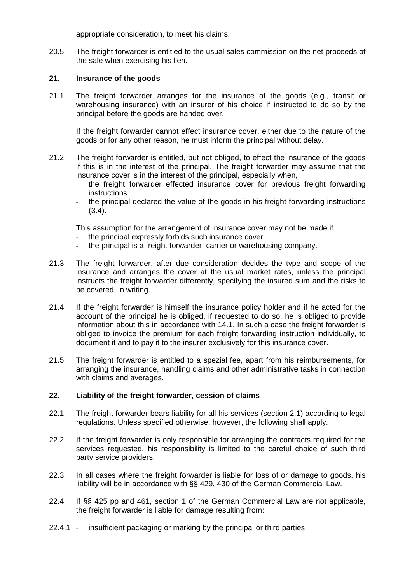appropriate consideration, to meet his claims.

20.5 The freight forwarder is entitled to the usual sales commission on the net proceeds of the sale when exercising his lien.

# **21. Insurance of the goods**

21.1 The freight forwarder arranges for the insurance of the goods (e.g., transit or warehousing insurance) with an insurer of his choice if instructed to do so by the principal before the goods are handed over.

If the freight forwarder cannot effect insurance cover, either due to the nature of the goods or for any other reason, he must inform the principal without delay.

- 21.2 The freight forwarder is entitled, but not obliged, to effect the insurance of the goods if this is in the interest of the principal. The freight forwarder may assume that the insurance cover is in the interest of the principal, especially when,
	- the freight forwarder effected insurance cover for previous freight forwarding instructions
	- the principal declared the value of the goods in his freight forwarding instructions (3.4).

This assumption for the arrangement of insurance cover may not be made if

- the principal expressly forbids such insurance cover
- the principal is a freight forwarder, carrier or warehousing company.
- 21.3 The freight forwarder, after due consideration decides the type and scope of the insurance and arranges the cover at the usual market rates, unless the principal instructs the freight forwarder differently, specifying the insured sum and the risks to be covered, in writing.
- 21.4 If the freight forwarder is himself the insurance policy holder and if he acted for the account of the principal he is obliged, if requested to do so, he is obliged to provide information about this in accordance with 14.1. In such a case the freight forwarder is obliged to invoice the premium for each freight forwarding instruction individually, to document it and to pay it to the insurer exclusively for this insurance cover.
- 21.5 The freight forwarder is entitled to a spezial fee, apart from his reimbursements, for arranging the insurance, handling claims and other administrative tasks in connection with claims and averages.

# **22. Liability of the freight forwarder, cession of claims**

- 22.1 The freight forwarder bears liability for all his services (section 2.1) according to legal regulations. Unless specified otherwise, however, the following shall apply.
- 22.2 If the freight forwarder is only responsible for arranging the contracts required for the services requested, his responsibility is limited to the careful choice of such third party service providers.
- 22.3 In all cases where the freight forwarder is liable for loss of or damage to goods, his liability will be in accordance with §§ 429, 430 of the German Commercial Law.
- 22.4 If §§ 425 pp and 461, section 1 of the German Commercial Law are not applicable, the freight forwarder is liable for damage resulting from:
- 22.4.1 insufficient packaging or marking by the principal or third parties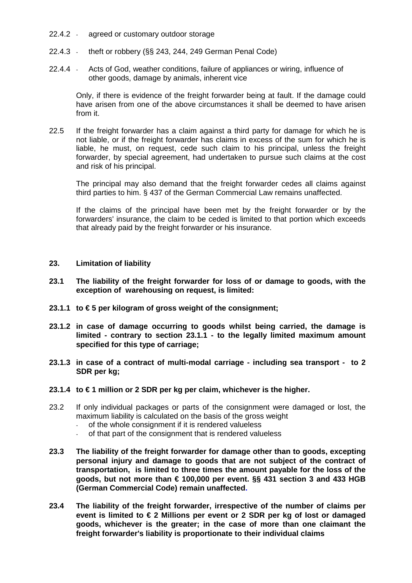- 22.4.2 agreed or customary outdoor storage
- 22.4.3 theft or robbery (§§ 243, 244, 249 German Penal Code)
- 22.4.4 Acts of God, weather conditions, failure of appliances or wiring, influence of other goods, damage by animals, inherent vice

 Only, if there is evidence of the freight forwarder being at fault. If the damage could have arisen from one of the above circumstances it shall be deemed to have arisen from it.

22.5 If the freight forwarder has a claim against a third party for damage for which he is not liable, or if the freight forwarder has claims in excess of the sum for which he is liable, he must, on request, cede such claim to his principal, unless the freight forwarder, by special agreement, had undertaken to pursue such claims at the cost and risk of his principal.

 The principal may also demand that the freight forwarder cedes all claims against third parties to him. § 437 of the German Commercial Law remains unaffected.

 If the claims of the principal have been met by the freight forwarder or by the forwarders' insurance, the claim to be ceded is limited to that portion which exceeds that already paid by the freight forwarder or his insurance.

## **23. Limitation of liability**

- **23.1 The liability of the freight forwarder for loss of or damage to goods, with the exception of warehousing on request, is limited:**
- **23.1.1 to € 5 per kilogram of gross weight of the consignment;**
- **23.1.2 in case of damage occurring to goods whilst being carried, the damage is limited - contrary to section 23.1.1 - to the legally limited maximum amount specified for this type of carriage;**
- **23.1.3 in case of a contract of multi-modal carriage including sea transport to 2 SDR per kg;**
- **23.1.4 to € 1 million or 2 SDR per kg per claim, whichever is the higher.**
- 23.2 If only individual packages or parts of the consignment were damaged or lost, the maximum liability is calculated on the basis of the gross weight
	- of the whole consignment if it is rendered valueless
	- of that part of the consignment that is rendered valueless
- **23.3 The liability of the freight forwarder for damage other than to goods, excepting personal injury and damage to goods that are not subject of the contract of transportation, is limited to three times the amount payable for the loss of the goods, but not more than € 100,000 per event. §§ 431 section 3 and 433 HGB (German Commercial Code) remain unaffected.**
- **23.4 The liability of the freight forwarder, irrespective of the number of claims per event is limited to € 2 Millions per event or 2 SDR per kg of lost or damaged goods, whichever is the greater; in the case of more than one claimant the freight forwarder's liability is proportionate to their individual claims**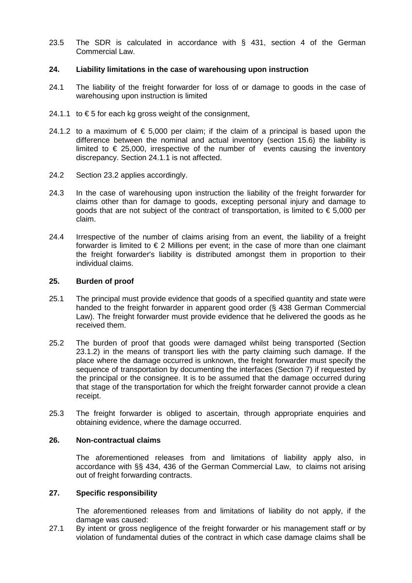23.5 The SDR is calculated in accordance with § 431, section 4 of the German Commercial Law.

## **24. Liability limitations in the case of warehousing upon instruction**

- 24.1 The liability of the freight forwarder for loss of or damage to goods in the case of warehousing upon instruction is limited
- 24.1.1 to  $\epsilon$  5 for each kg gross weight of the consignment,
- 24.1.2 to a maximum of  $\epsilon$  5,000 per claim; if the claim of a principal is based upon the difference between the nominal and actual inventory (section 15.6) the liability is limited to  $\epsilon$  25,000, irrespective of the number of events causing the inventory discrepancy. Section 24.1.1 is not affected.
- 24.2 Section 23.2 applies accordingly.
- 24.3 In the case of warehousing upon instruction the liability of the freight forwarder for claims other than for damage to goods, excepting personal injury and damage to goods that are not subject of the contract of transportation, is limited to  $\epsilon$  5,000 per claim.
- 24.4 Irrespective of the number of claims arising from an event, the liability of a freight forwarder is limited to  $\epsilon$  2 Millions per event; in the case of more than one claimant the freight forwarder's liability is distributed amongst them in proportion to their individual claims.

#### **25. Burden of proof**

- 25.1 The principal must provide evidence that goods of a specified quantity and state were handed to the freight forwarder in apparent good order (§ 438 German Commercial Law). The freight forwarder must provide evidence that he delivered the goods as he received them.
- 25.2 The burden of proof that goods were damaged whilst being transported (Section 23.1.2) in the means of transport lies with the party claiming such damage. If the place where the damage occurred is unknown, the freight forwarder must specify the sequence of transportation by documenting the interfaces (Section 7) if requested by the principal or the consignee. It is to be assumed that the damage occurred during that stage of the transportation for which the freight forwarder cannot provide a clean receipt.
- 25.3 The freight forwarder is obliged to ascertain, through appropriate enquiries and obtaining evidence, where the damage occurred.

#### **26. Non-contractual claims**

 The aforementioned releases from and limitations of liability apply also, in accordance with §§ 434, 436 of the German Commercial Law, to claims not arising out of freight forwarding contracts.

## **27. Specific responsibility**

 The aforementioned releases from and limitations of liability do not apply, if the damage was caused:

27.1 By intent or gross negligence of the freight forwarder or his management staff or by violation of fundamental duties of the contract in which case damage claims shall be